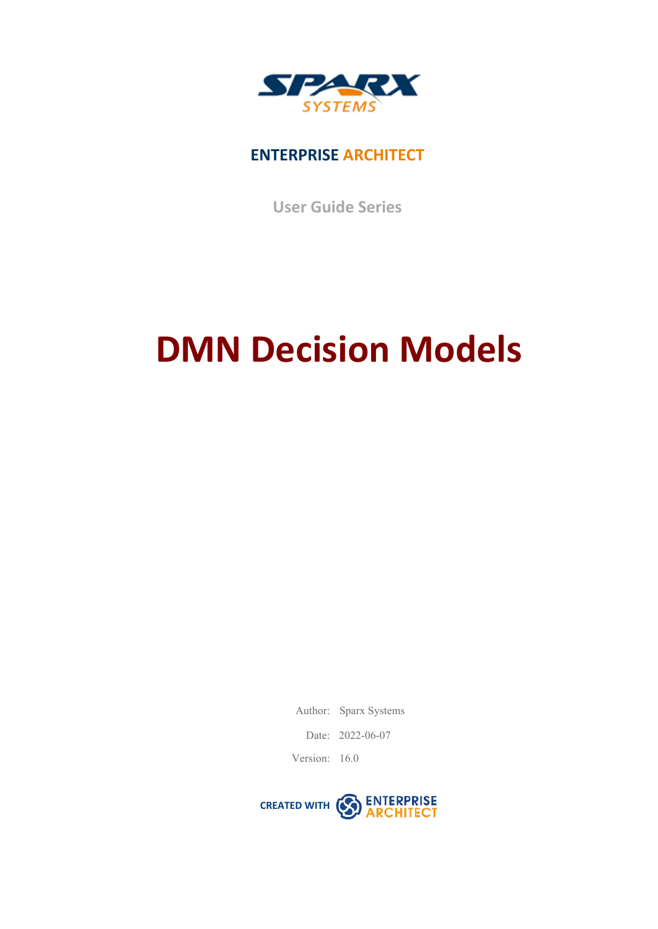

### **ENTERPRISE ARCHITECT**

**User Guide Series**

# **DMN Decision Models**

Author: Sparx Systems

Date: 2022-06-07

Version: 16.0

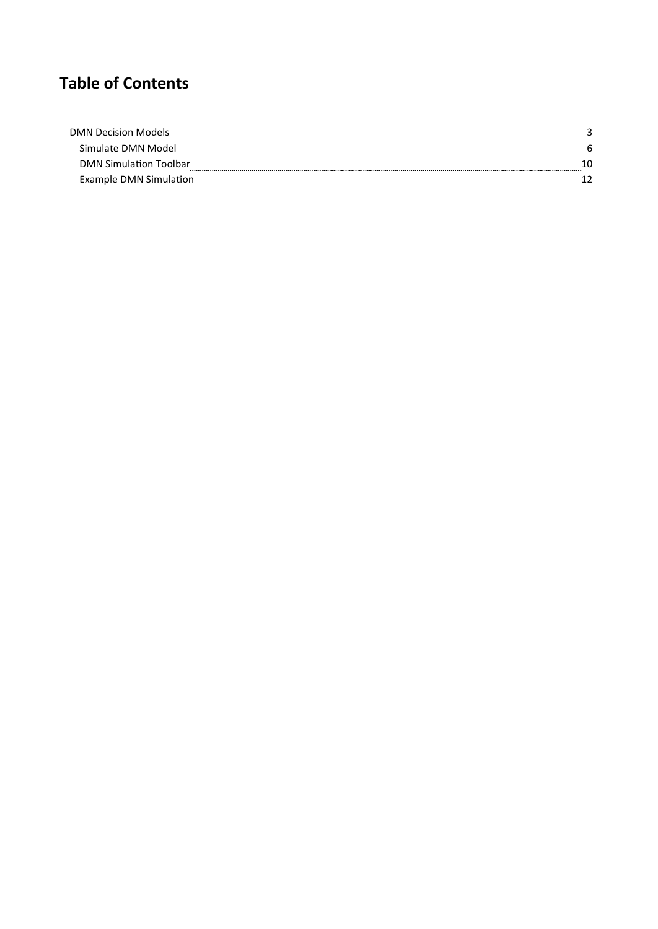## **Table of Contents**

| <b>DMN Decision Models</b>    |  |
|-------------------------------|--|
| Simulate DMN Model            |  |
| <b>DMN Simulation Toolbar</b> |  |
| Example DMN Simulation        |  |
|                               |  |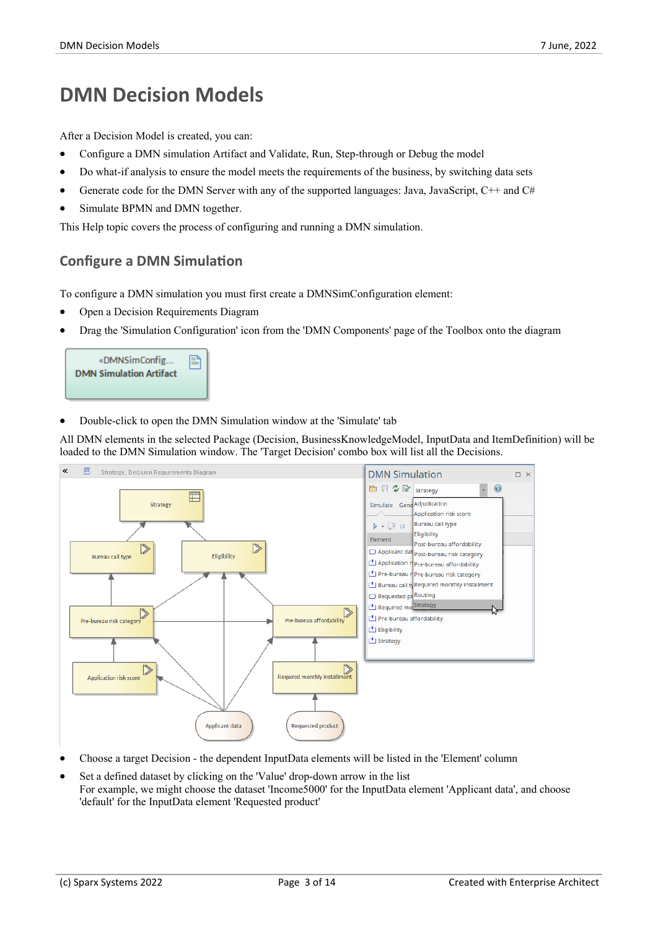## **DMN Decision Models**

After a Decision Model is created, you can:

- Configure a DMN simulation Artifact and Validate, Run, Step-through or Debug the model
- Do what-if analysis to ensure the model meets the requirements of the business, by switching data sets
- Generate code for the DMN Server with any of the supported languages: Java, JavaScript,  $C++$  and  $C#$
- Simulate BPMN and DMN together.

This Help topic covers the process of configuring and running a DMN simulation.

#### **Configure a DMN Simulation**

To configure a DMN simulation you mustfirst create a DMNSimConfiguration element:

- · Open a Decision Requirements Diagram
- · Drag the 'Simulation Configuration'icon from the 'DMN Components' page of the Toolbox onto the diagram



Double-click to open the DMN Simulation window at the 'Simulate' tab

All DMN elements in the selected Package (Decision, BusinessKnowledgeModel, InputData and ItemDefinition) will be loaded to the DMN Simulation window. The 'Target Decision' combo box will list all the Decisions.



- · Choose a target Decision the dependent InputData elements will be listed in the 'Element' column
- Set a defined dataset by clicking on the 'Value' drop-down arrow in the list For example, we might choose the dataset 'Income5000' for the InputData element 'Applicant data', and choose 'default' for the InputData element 'Requested product'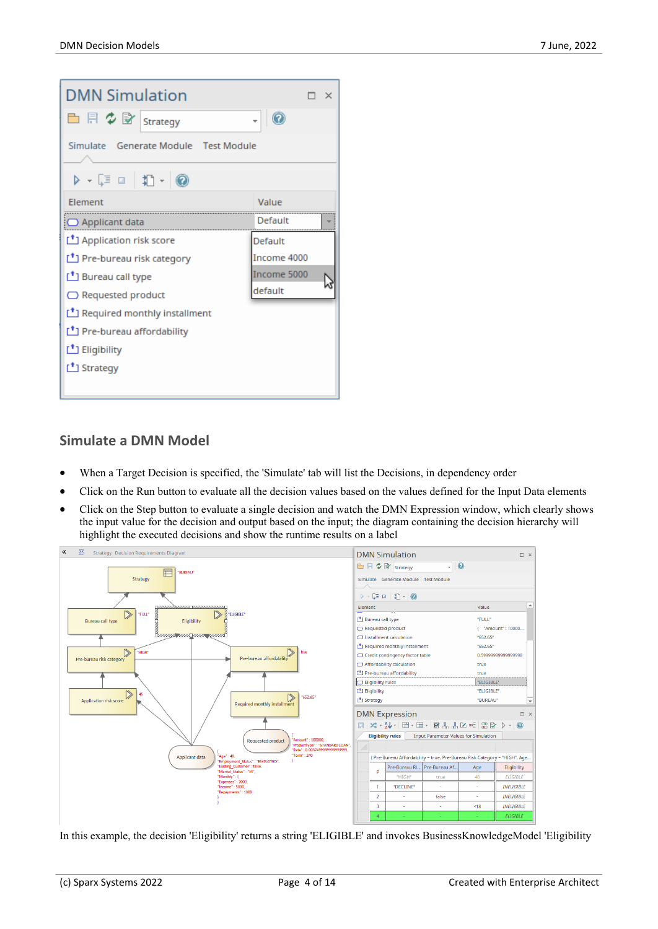| <b>DMN Simulation</b>                                                  | п х         |
|------------------------------------------------------------------------|-------------|
| $\Box$ $\Box$ $\Diamond$ $\Box$ Strategy                               |             |
| Simulate Generate Module Test Module                                   |             |
| $\triangleright$ $\cdot$ [ $\Box$ $\parallel$ 1] $\cdot$ $\parallel$ 0 |             |
| <b>Flement</b>                                                         | Value       |
| <b>O</b> Applicant data                                                | Default     |
| <sup>1</sup> Application risk score                                    | Default     |
| Pre-bureau risk category                                               | Income 4000 |
| Bureau call type                                                       | Income 5000 |
| $\bigcirc$ Requested product                                           | default     |
| Required monthly installment                                           |             |
| Pre-bureau affordability                                               |             |
| Eligibility                                                            |             |
| Strategy                                                               |             |
|                                                                        |             |

#### **Simulate a DMN Model**

- When a Target Decision is specified, the 'Simulate' tab will list the Decisions, in dependency order
- Click on the Run button to evaluate all the decision values based on the values defined for the Input Data elements
- Click on the Step button to evaluate a single decision and watch the DMN Expression window, which clearly shows the input value for the decision and output based on the input; the diagram containing the decision hierarchy will highlight the executed decisions and show the runtime results on a label



In this example, the decision 'Eligibility' returns a string 'ELIGIBLE' and invokes BusinessKnowledgeModel 'Eligibility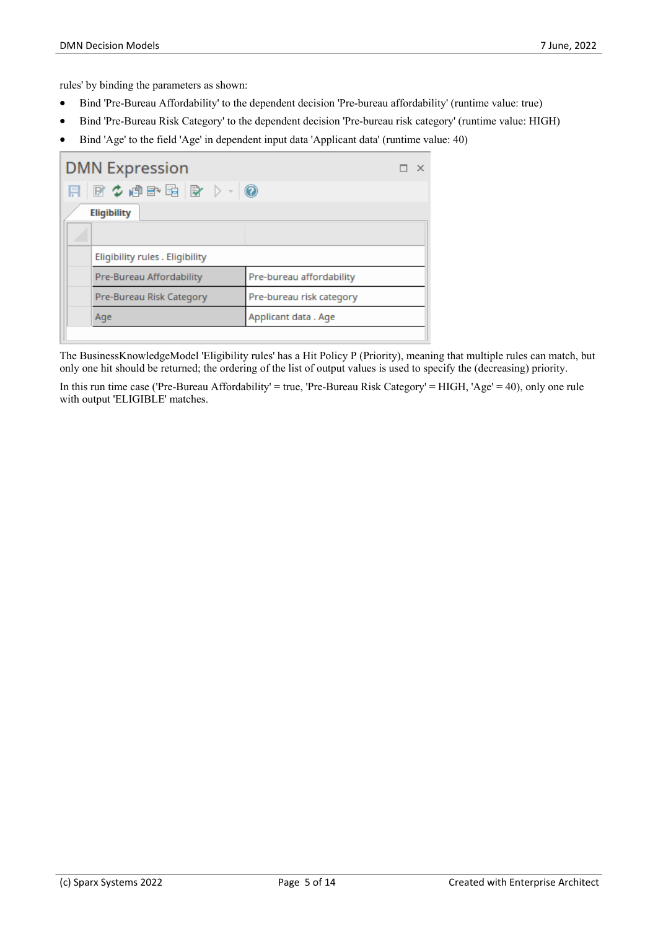rules' by binding the parameters as shown:

- · Bind 'Pre-Bureau Affordability' to the dependent decision 'Pre-bureau affordability' (runtime value: true)
- · Bind 'Pre-Bureau Risk Category' to the dependent decision 'Pre-bureau risk category' (runtime value: HIGH)
- · Bind 'Age' to the field 'Age' in dependent input data 'Applicant data' (runtime value: 40)

| <b>DMN Expression</b>                   |                          |
|-----------------------------------------|--------------------------|
| FB + $\phi$ and $\mathbb{B}$ b + $\phi$ |                          |
| <b>Eligibility</b>                      |                          |
|                                         |                          |
| Eligibility rules . Eligibility         |                          |
| Pre-Bureau Affordability                | Pre-bureau affordability |
| Pre-Bureau Risk Category                | Pre-bureau risk category |
| Age                                     | Applicant data . Age     |
|                                         |                          |

The BusinessKnowledgeModel 'Eligibility rules' has a Hit Policy P (Priority), meaning that multiple rules can match, but only one hit should be returned; the ordering of the list of output values is used to specify the (decreasing) priority.

In this run time case ('Pre-Bureau Affordability' = true, 'Pre-Bureau Risk Category' = HIGH, 'Age' = 40), only one rule with output 'ELIGIBLE' matches.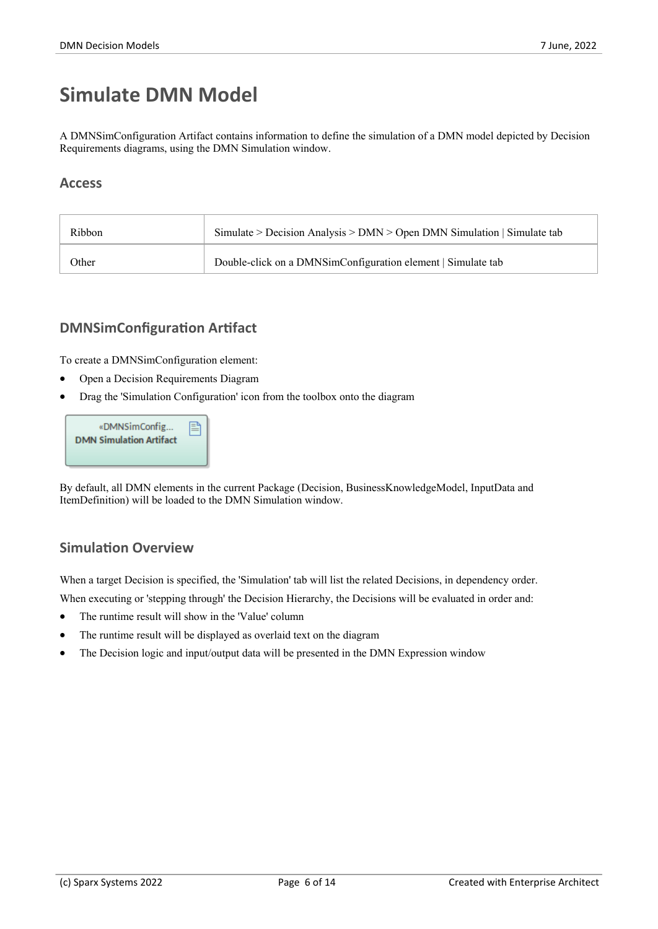## **Simulate DMN Model**

A DMNSimConfiguration Artifact contains information to define the simulation of a DMN model depicted by Decision Requirements diagrams, using the DMN Simulation window.

#### **Access**

| Ribbon | Simulate > Decision Analysis > $DMN >$ Open DMN Simulation   Simulate tab |
|--------|---------------------------------------------------------------------------|
| Other  | Double-click on a DMNSimConfiguration element   Simulate tab              |

#### **DMNSimConfiguration Artifact**

To create a DMNSimConfiguration element:

- · Open a Decision Requirements Diagram
- · Drag the 'Simulation Configuration'icon from the toolbox onto the diagram

| «DMNSimConfig<br><b>DMN Simulation Artifact</b> | 閆 |
|-------------------------------------------------|---|
|                                                 |   |

By default, all DMN elements in the current Package (Decision, BusinessKnowledgeModel, InputData and ItemDefinition) will be loaded to the DMN Simulation window.

#### **Simulation Overview**

When a target Decision is specified, the 'Simulation' tab will list the related Decisions, in dependency order.

When executing or 'stepping through' the Decision Hierarchy, the Decisions will be evaluated in order and:

- The runtime result will show in the 'Value' column
- The runtime result will be displayed as overlaid text on the diagram
- The Decision logic and input/output data will be presented in the DMN Expression window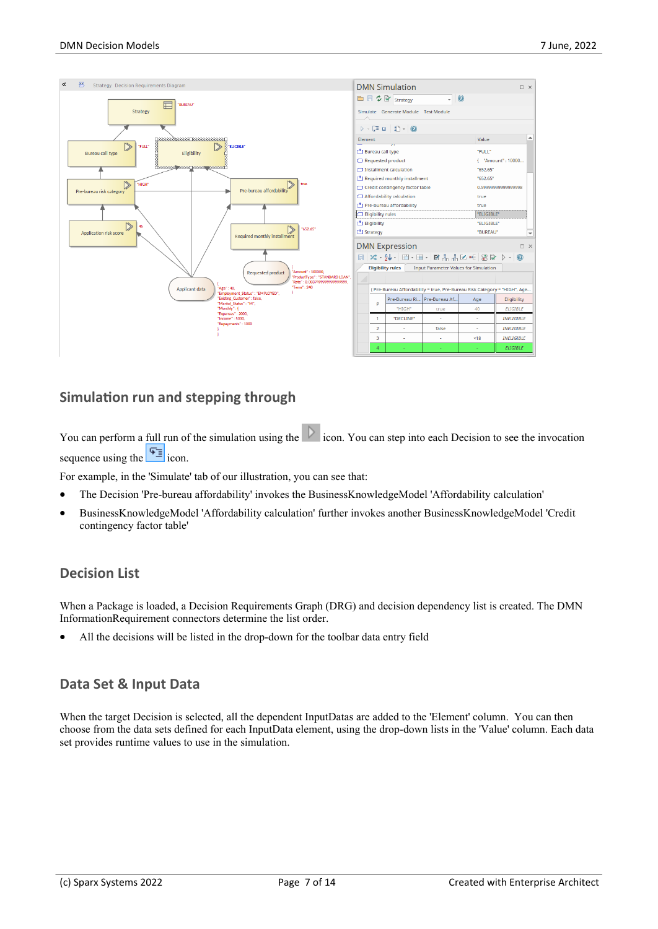

#### **Simulation run and stepping through**

You can perform a full run of the simulation using the icon. You can step into each Decision to see the invocation sequence using the  $\sqrt{2\pi}$  icon.

For example, in the 'Simulate' tab of our illustration, you can see that:

- · The Decision 'Pre-bureau affordability' invokes the BusinessKnowledgeModel 'Affordability calculation'
- · BusinessKnowledgeModel 'Affordability calculation' further invokes another BusinessKnowledgeModel 'Credit contingency factor table'

#### **Decision List**

When a Package is loaded, a Decision Requirements Graph (DRG) and decision dependency list is created. The DMN InformationRequirement connectors determine the list order.

All the decisions will be listed in the drop-down for the toolbar data entry field

#### **Data Set & Input Data**

When the target Decision is selected, all the dependent InputDatas are added to the 'Element' column. You can then choose from the data sets defined for each InputData element, using the drop-down lists in the 'Value' column. Each data set provides runtime values to use in the simulation.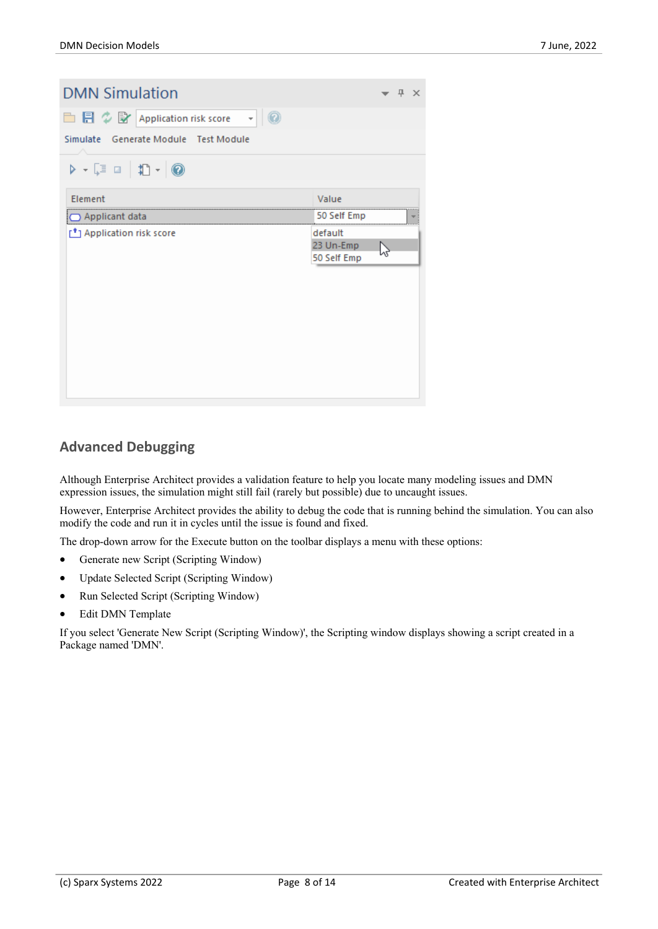| <b>DMN Simulation</b>                                                                                             |             | $\mathbf{\mu} \times$ |   |
|-------------------------------------------------------------------------------------------------------------------|-------------|-----------------------|---|
| □ 目 ◇ 歐 Application risk score<br>- 0                                                                             |             |                       |   |
| Simulate Generate Module Test Module                                                                              |             |                       |   |
| $\triangleright \cdot \lceil \mathbb{I} \rceil = \mid \mathbb{I} \rangle \cdot \mid \textcircled{\scriptsize{0}}$ |             |                       |   |
| Element                                                                                                           | Value       |                       |   |
| Applicant data                                                                                                    | 50 Self Emp |                       | ▼ |
| Application risk score                                                                                            | default     |                       |   |
|                                                                                                                   |             |                       |   |
|                                                                                                                   | 23 Un-Emp   |                       |   |
|                                                                                                                   | 50 Self Emp |                       |   |
|                                                                                                                   |             |                       |   |
|                                                                                                                   |             |                       |   |
|                                                                                                                   |             |                       |   |
|                                                                                                                   |             |                       |   |
|                                                                                                                   |             |                       |   |
|                                                                                                                   |             |                       |   |
|                                                                                                                   |             |                       |   |
|                                                                                                                   |             |                       |   |

#### **Advanced Debugging**

Although Enterprise Architect provides a validation feature to help you locate many modeling issues and DMN expression issues, the simulation might still fail (rarely but possible) due to uncaught issues.

However, Enterprise Architect provides the ability to debug the code that is running behind the simulation. You can also modify the code and run it in cycles until the issue is found and fixed.

The drop-down arrow for the Execute button on the toolbar displays a menu with these options:

- Generate new Script (Scripting Window)
- Update Selected Script (Scripting Window)
- · Run Selected Script (Scripting Window)
- Edit DMN Template

If you select 'Generate New Script (Scripting Window)', the Scripting window displays showing a script created in a Package named 'DMN'.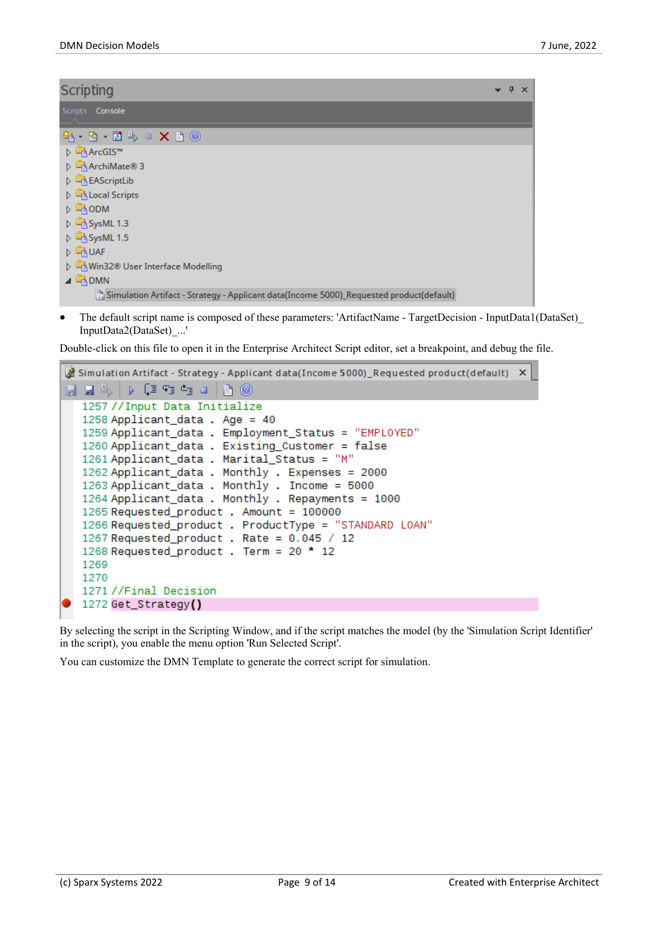| <b>Scripting</b>                                                                        | 4 | $\times$ |
|-----------------------------------------------------------------------------------------|---|----------|
| Scripts Console                                                                         |   |          |
| 83-9-124-12-2 X 20                                                                      |   |          |
| DEArcGIS™                                                                               |   |          |
| D ArchiMate® 3                                                                          |   |          |
| D B EAScriptLib                                                                         |   |          |
| D B Local Scripts                                                                       |   |          |
| <b>D</b> BODM                                                                           |   |          |
| ▷ BysML 1.3                                                                             |   |          |
| ▷ BysML 1.5                                                                             |   |          |
| $\triangleright$ $\Box$ UAF                                                             |   |          |
| ▷ Nin32® User Interface Modelling                                                       |   |          |
| $\triangleq$ $\Box$ DMN                                                                 |   |          |
| Simulation Artifact - Strategy - Applicant data(Income 5000)_Requested product(default) |   |          |

The default script name is composed of these parameters: 'ArtifactName - TargetDecision - InputData1(DataSet) InputData2(DataSet)\_...'

Double-click on this file to open it in the Enterprise Architect Script editor, set a breakpoint, and debug the file.

| $\frac{36}{26}$ Simulation Artifact - Strategy - Applicant data(Income 5000)_Requested product(default) $\times$                                                                                                                                                                                                                                                                                                                                                                                                                                                                          |
|-------------------------------------------------------------------------------------------------------------------------------------------------------------------------------------------------------------------------------------------------------------------------------------------------------------------------------------------------------------------------------------------------------------------------------------------------------------------------------------------------------------------------------------------------------------------------------------------|
| H H 4 D (3 G G H 1 B 0                                                                                                                                                                                                                                                                                                                                                                                                                                                                                                                                                                    |
| 1257 //Input Data Initialize<br>1258 Applicant_data . Age = 40<br>1259 Applicant_data . Employment_Status = "EMPLOYED"<br>1260 Applicant_data . Existing_Customer = false<br>1261 Applicant_data . Marital_Status = "M"<br>1262 Applicant_data . Monthly . Expenses = 2000<br>1263 Applicant_data . Monthly . Income = 5000<br>1264 Applicant_data . Monthly . Repayments = 1000<br>1265 Requested_product . Amount = 100000<br>1266 Requested_product . ProductType = "STANDARD LOAN"<br>1267 Requested_product . Rate = $0.045 / 12$<br>1268 Requested_product . Term = 20 * 12<br>1269 |
| 1270<br>1271//Final Decision                                                                                                                                                                                                                                                                                                                                                                                                                                                                                                                                                              |
| 1272 Get_Strategy()                                                                                                                                                                                                                                                                                                                                                                                                                                                                                                                                                                       |

By selecting the script in the Scripting Window, and if the script matches the model (by the 'Simulation Script Identifier' in the script), you enable the menu option 'Run Selected Script'.

You can customize the DMN Template to generate the correct script for simulation.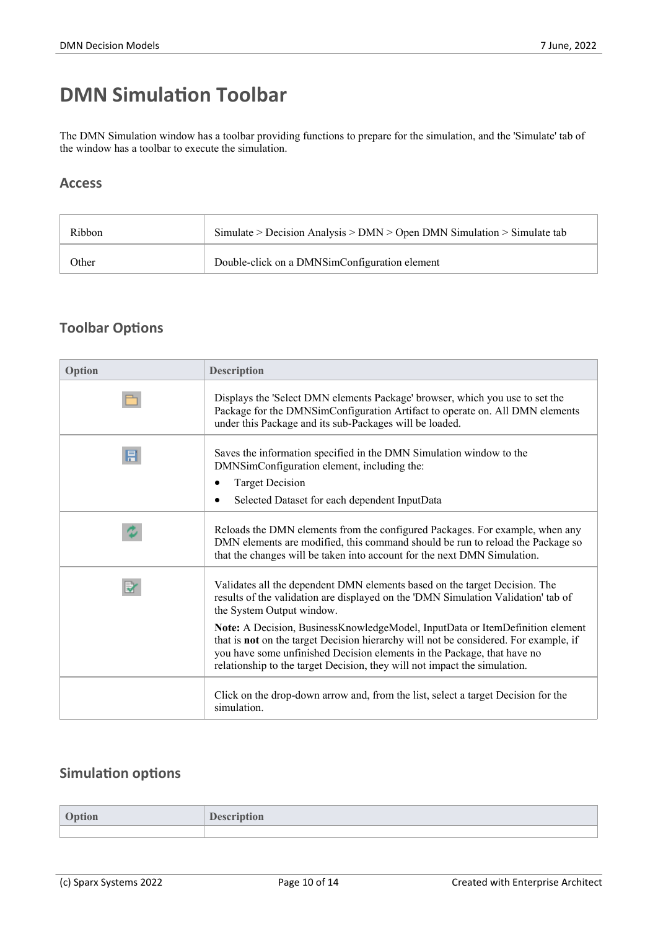## **DMN Simulation Toolbar**

The DMN Simulation window has a toolbar providing functions to prepare for the simulation, and the 'Simulate' tab of the window has a toolbar to execute the simulation.

#### **Access**

| Ribbon | Simulate > Decision Analysis > $DMN >$ Open DMN Simulation > Simulate tab |
|--------|---------------------------------------------------------------------------|
| Other  | Double-click on a DMNSimConfiguration element                             |

#### **Toolbar Options**

| Option | <b>Description</b>                                                                                                                                                                                                                                                                                                                   |
|--------|--------------------------------------------------------------------------------------------------------------------------------------------------------------------------------------------------------------------------------------------------------------------------------------------------------------------------------------|
|        | Displays the 'Select DMN elements Package' browser, which you use to set the<br>Package for the DMNSimConfiguration Artifact to operate on. All DMN elements<br>under this Package and its sub-Packages will be loaded.                                                                                                              |
| 目      | Saves the information specified in the DMN Simulation window to the<br>DMNSimConfiguration element, including the:                                                                                                                                                                                                                   |
|        | <b>Target Decision</b>                                                                                                                                                                                                                                                                                                               |
|        | Selected Dataset for each dependent InputData                                                                                                                                                                                                                                                                                        |
|        | Reloads the DMN elements from the configured Packages. For example, when any<br>DMN elements are modified, this command should be run to reload the Package so<br>that the changes will be taken into account for the next DMN Simulation.                                                                                           |
| R      | Validates all the dependent DMN elements based on the target Decision. The<br>results of the validation are displayed on the 'DMN Simulation Validation' tab of<br>the System Output window.                                                                                                                                         |
|        | Note: A Decision, BusinessKnowledgeModel, InputData or ItemDefinition element<br>that is <b>not</b> on the target Decision hierarchy will not be considered. For example, if<br>you have some unfinished Decision elements in the Package, that have no<br>relationship to the target Decision, they will not impact the simulation. |
|        | Click on the drop-down arrow and, from the list, select a target Decision for the<br>simulation.                                                                                                                                                                                                                                     |

#### **Simulation options**

| лоп - | лоп |
|-------|-----|
|       |     |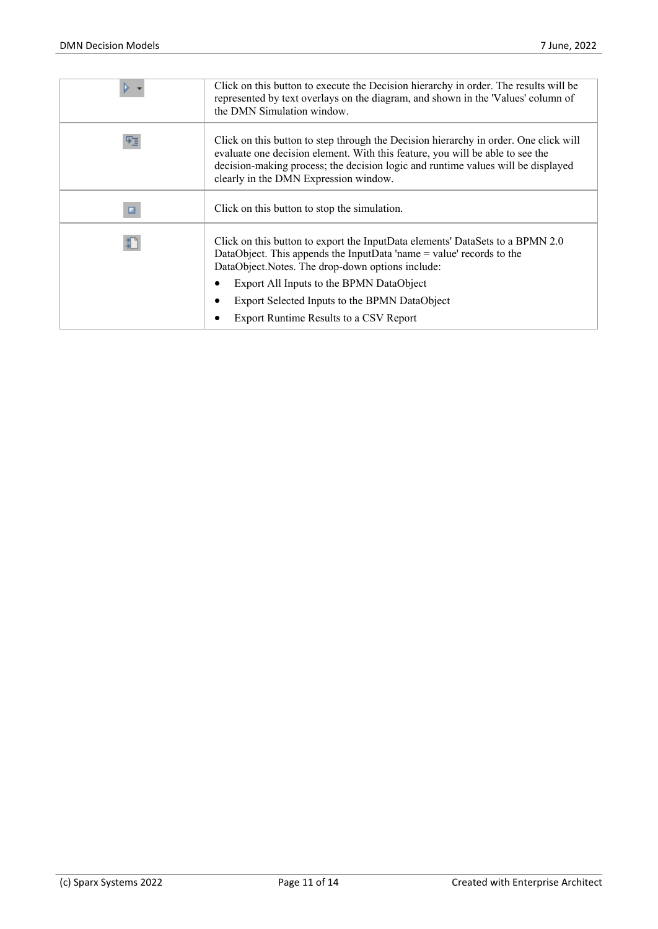|   | Click on this button to execute the Decision hierarchy in order. The results will be<br>represented by text overlays on the diagram, and shown in the 'Values' column of<br>the DMN Simulation window.                                                                                             |
|---|----------------------------------------------------------------------------------------------------------------------------------------------------------------------------------------------------------------------------------------------------------------------------------------------------|
| 咥 | Click on this button to step through the Decision hierarchy in order. One click will<br>evaluate one decision element. With this feature, you will be able to see the<br>decision-making process; the decision logic and runtime values will be displayed<br>clearly in the DMN Expression window. |
| ▣ | Click on this button to stop the simulation.                                                                                                                                                                                                                                                       |
|   | Click on this button to export the InputData elements' DataSets to a BPMN 2.0<br>DataObject. This appends the InputData 'name = value' records to the<br>DataObject.Notes. The drop-down options include:                                                                                          |
|   | Export All Inputs to the BPMN DataObject                                                                                                                                                                                                                                                           |
|   | Export Selected Inputs to the BPMN DataObject<br>٠                                                                                                                                                                                                                                                 |
|   | Export Runtime Results to a CSV Report                                                                                                                                                                                                                                                             |
|   |                                                                                                                                                                                                                                                                                                    |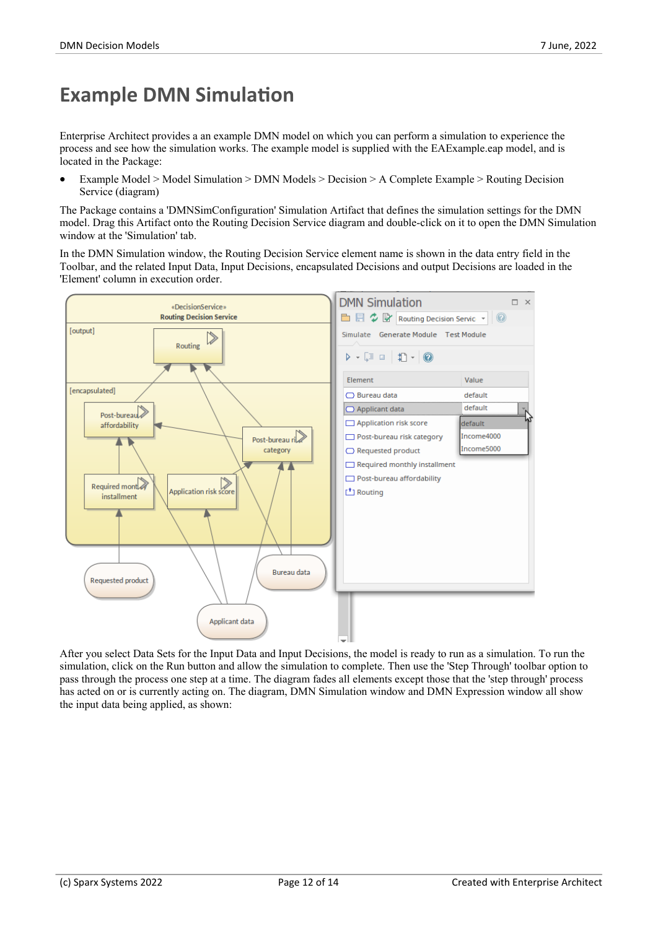## **Example DMN Simulation**

Enterprise Architect provides a an example DMN model on which you can perform a simulation to experience the process and see how the simulation works. The example model is supplied with the EAExample.eap model, and is located in the Package:

· Example Model > Model Simulation > DMN Models > Decision > A Complete Example > Routing Decision Service (diagram)

The Package contains a 'DMNSimConfiguration' Simulation Artifact that defines the simulation settings for the DMN model. Drag this Artifact onto the Routing Decision Service diagram and double-click on it to open the DMN Simulation window at the 'Simulation' tab.

In the DMN Simulation window, the Routing Decision Service element name is shown in the data entry field in the Toolbar, and the related Input Data, Input Decisions, encapsulated Decisions and output Decisions are loaded in the 'Element' column in execution order.



After you select Data Sets for the Input Data and Input Decisions, the model is ready to run as a simulation. To run the simulation, click on the Run button and allow the simulation to complete. Then use the 'Step Through' toolbar option to pass through the process one step at a time. The diagram fades all elements except those that the 'step through' process has acted on or is currently acting on. The diagram, DMN Simulation window and DMN Expression window all show the input data being applied, as shown: